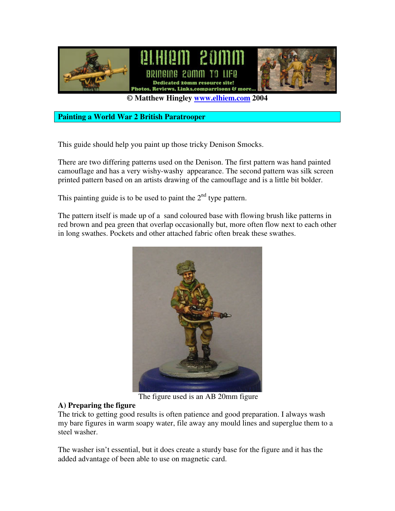

**© Matthew Hingley www.elhiem.com 2004**

**Painting a World War 2 British Paratrooper**

This guide should help you paint up those tricky Denison Smocks.

There are two differing patterns used on the Denison. The first pattern was hand painted camouflage and has a very wishy-washy appearance. The second pattern was silk screen printed pattern based on an artists drawing of the camouflage and is a little bit bolder.

This painting guide is to be used to paint the  $2<sup>nd</sup>$  type pattern.

The pattern itself is made up of a sand coloured base with flowing brush like patterns in red brown and pea green that overlap occasionally but, more often flow next to each other in long swathes. Pockets and other attached fabric often break these swathes.



The figure used is an AB 20mm figure

#### **A) Preparing the figure**

The trick to getting good results is often patience and good preparation. I always wash my bare figures in warm soapy water, file away any mould lines and superglue them to a steel washer.

The washer isn't essential, but it does create a sturdy base for the figure and it has the added advantage of been able to use on magnetic card.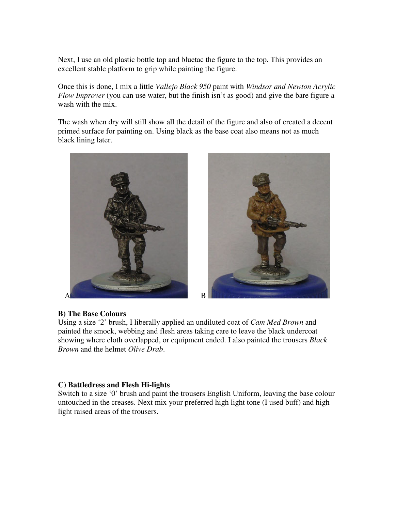Next, I use an old plastic bottle top and bluetac the figure to the top. This provides an excellent stable platform to grip while painting the figure.

Once this is done, I mix a little *Vallejo Black 950* paint with *Windsor and Newton Acrylic Flow Improver* (you can use water, but the finish isn't as good) and give the bare figure a wash with the mix.

The wash when dry will still show all the detail of the figure and also of created a decent primed surface for painting on. Using black as the base coat also means not as much black lining later.





#### **B) The Base Colours**

Using a size '2' brush, I liberally applied an undiluted coat of *Cam Med Brown* and painted the smock, webbing and flesh areas taking care to leave the black undercoat showing where cloth overlapped, or equipment ended. I also painted the trousers *Black Brown* and the helmet *Olive Drab*.

#### **C) Battledress and Flesh Hi-lights**

Switch to a size '0' brush and paint the trousers English Uniform, leaving the base colour untouched in the creases. Next mix your preferred high light tone (I used buff) and high light raised areas of the trousers.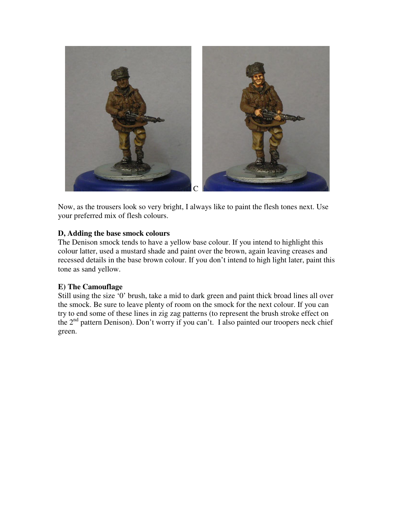

Now, as the trousers look so very bright, I always like to paint the flesh tones next. Use your preferred mix of flesh colours.

### **D, Adding the base smock colours**

The Denison smock tends to have a yellow base colour. If you intend to highlight this colour latter, used a mustard shade and paint over the brown, again leaving creases and recessed details in the base brown colour. If you don't intend to high light later, paint this tone as sand yellow.

#### **E) The Camouflage**

Still using the size '0' brush, take a mid to dark green and paint thick broad lines all over the smock. Be sure to leave plenty of room on the smock for the next colour. If you can try to end some of these lines in zig zag patterns (to represent the brush stroke effect on the 2<sup>nd</sup> pattern Denison). Don't worry if you can't. I also painted our troopers neck chief green.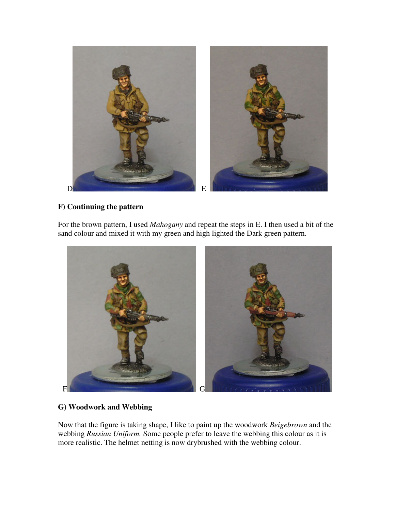

# **F) Continuing the pattern**

For the brown pattern, I used *Mahogany* and repeat the steps in E. I then used a bit of the sand colour and mixed it with my green and high lighted the Dark green pattern.



# **G) Woodwork and Webbing**

Now that the figure is taking shape, I like to paint up the woodwork *Beigebrown* and the webbing *Russian Uniform.* Some people prefer to leave the webbing this colour as it is more realistic. The helmet netting is now drybrushed with the webbing colour.